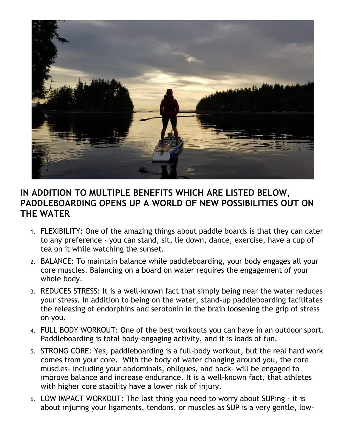

## **IN ADDITION TO MULTIPLE BENEFITS WHICH ARE LISTED BELOW, PADDLEBOARDING OPENS UP A WORLD OF NEW POSSIBILITIES OUT ON THE WATER**

- 1. FLEXIBILITY: One of the amazing things about paddle boards is that they can cater to any preference - you can stand, sit, lie down, dance, exercise, have a cup of tea on it while watching the sunset.
- 2. BALANCE: To maintain balance while paddleboarding, your body engages all your core muscles. Balancing on a board on water requires the engagement of your whole body.
- 3. REDUCES STRESS: It is a well-known fact that simply being near the water reduces your stress. In addition to being on the water, stand-up paddleboarding facilitates the releasing of endorphins and serotonin in the brain loosening the grip of stress on you.
- 4. FULL BODY WORKOUT: One of the best workouts you can have in an outdoor sport. Paddleboarding is total body-engaging activity, and it is loads of fun.
- 5. STRONG CORE: Yes, paddleboarding is a full-body workout, but the real hard work comes from your core. With the body of water changing around you, the core muscles- including your abdominals, obliques, and back- will be engaged to improve balance and increase endurance. It is a well-known fact, that athletes with higher core stability have a lower risk of injury.
- 6. LOW IMPACT WORKOUT: The last thing you need to worry about SUPing it is about injuring your ligaments, tendons, or muscles as SUP is a very gentle, low-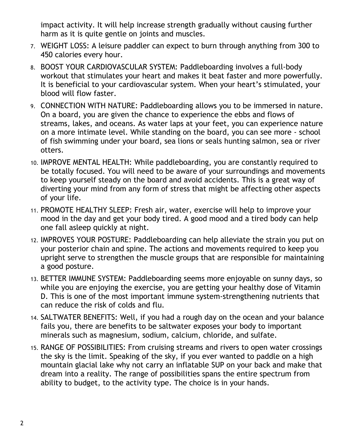impact activity. It will help increase strength gradually without causing further harm as it is quite gentle on joints and muscles.

- 7. WEIGHT LOSS: A leisure paddler can expect to burn through anything from 300 to 450 calories every hour.
- 8. BOOST YOUR CARDIOVASCULAR SYSTEM: Paddleboarding involves a full-body workout that stimulates your heart and makes it beat faster and more powerfully. It is beneficial to your cardiovascular system. When your heart's stimulated, your blood will flow faster.
- 9. CONNECTION WITH NATURE: Paddleboarding allows you to be immersed in nature. On a board, you are given the chance to experience the ebbs and flows of streams, lakes, and oceans. As water laps at your feet, you can experience nature on a more intimate level. While standing on the board, you can see more - school of fish swimming under your board, sea lions or seals hunting salmon, sea or river otters.
- 10. IMPROVE MENTAL HEALTH: While paddleboarding, you are constantly required to be totally focused. You will need to be aware of your surroundings and movements to keep yourself steady on the board and avoid accidents. This is a great way of diverting your mind from any form of stress that might be affecting other aspects of your life.
- 11. PROMOTE HEALTHY SLEEP: Fresh air, water, exercise will help to improve your mood in the day and get your body tired. A good mood and a tired body can help one fall asleep quickly at night.
- 12. IMPROVES YOUR POSTURE: Paddleboarding can help alleviate the strain you put on your posterior chain and spine. The actions and movements required to keep you upright serve to strengthen the muscle groups that are responsible for maintaining a good posture.
- 13. BETTER IMMUNE SYSTEM: Paddleboarding seems more enjoyable on sunny days, so while you are enjoying the exercise, you are getting your healthy dose of Vitamin D. This is one of the most important immune system-strengthening nutrients that can reduce the risk of colds and flu.
- 14. SALTWATER BENEFITS: Well, if you had a rough day on the ocean and your balance fails you, there are benefits to be saltwater exposes your body to important minerals such as magnesium, sodium, calcium, chloride, and sulfate.
- 15. RANGE OF POSSIBILITIES: From cruising streams and rivers to open water crossings the sky is the limit. Speaking of the sky, if you ever wanted to paddle on a high mountain glacial lake why not carry an inflatable SUP on your back and make that dream into a reality. The range of possibilities spans the entire spectrum from ability to budget, to the activity type. The choice is in your hands.